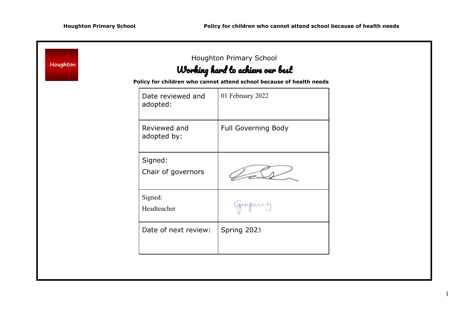|                               | Houghton Primary School<br>Working hard to achieve our best<br>Policy for children who cannot attend school because of health needs |  |
|-------------------------------|-------------------------------------------------------------------------------------------------------------------------------------|--|
| Date reviewed and<br>adopted: | 01 February 2022                                                                                                                    |  |
| Reviewed and<br>adopted by:   | <b>Full Governing Body</b>                                                                                                          |  |
| Signed:<br>Chair of governors |                                                                                                                                     |  |
| Signed:<br>Headteacher        | gungoune                                                                                                                            |  |
| Date of next review:          | Spring 2023                                                                                                                         |  |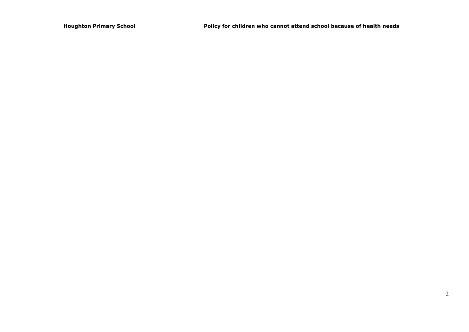**Houghton Primary School Policy for children who cannot attend school because of health needs**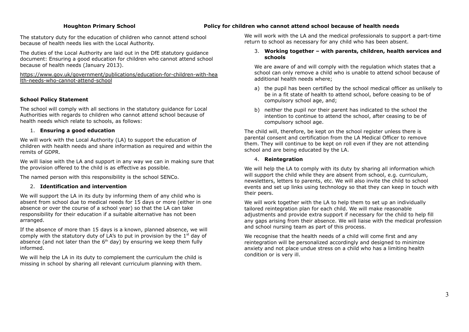# **Houghton Primary School Policy for children who cannot attend school because of health needs**

The statutory duty for the education of children who cannot attend school because of health needs lies with the Local Authority.

The duties of the Local Authority are laid out in the DfE statutory guidance document: Ensuring a good education for children who cannot attend school because of health needs (January 2013).

[https://www.gov.uk/government/publications/education-for-children-with-hea](https://www.gov.uk/government/publications/education-for-children-with-health-needs-who-cannot-attend-school) [lth-needs-who-cannot-attend-school](https://www.gov.uk/government/publications/education-for-children-with-health-needs-who-cannot-attend-school)

# **School Policy Statement**

The school will comply with all sections in the statutory guidance for Local Authorities with regards to children who cannot attend school because of health needs which relate to schools, as follows:

# 1. **Ensuring a good education**

We will work with the Local Authority (LA) to support the education of children with health needs and share information as required and within the remits of GDPR.

We will liaise with the LA and support in any way we can in making sure that the provision offered to the child is as effective as possible.

The named person with this responsibility is the school SENCo.

# 2. **Identification and intervention**

We will support the LA in its duty by informing them of any child who is absent from school due to medical needs for 15 days or more (either in one absence or over the course of a school year) so that the LA can take responsibility for their education if a suitable alternative has not been arranged.

If the absence of more than 15 days is a known, planned absence, we will comply with the statutory duty of LA's to put in provision by the  $1<sup>st</sup>$  day of absence (and not later than the  $6<sup>th</sup>$  day) by ensuring we keep them fully informed.

We will help the LA in its duty to complement the curriculum the child is missing in school by sharing all relevant curriculum planning with them.

We will work with the LA and the medical professionals to support a part-time return to school as necessary for any child who has been absent.

### 3. **Working together – with parents, children, health services and schools**

We are aware of and will comply with the regulation which states that a school can only remove a child who is unable to attend school because of additional health needs where;

- a) the pupil has been certified by the school medical officer as unlikely to be in a fit state of health to attend school, before ceasing to be of compulsory school age, and;
- b) neither the pupil nor their parent has indicated to the school the intention to continue to attend the school, after ceasing to be of compulsory school age.

The child will, therefore, be kept on the school register unless there is parental consent and certification from the LA Medical Officer to remove them. They will continue to be kept on roll even if they are not attending school and are being educated by the LA.

# 4. **Reintegration**

We will help the LA to comply with its duty by sharing all information which will support the child while they are absent from school, e.g. curriculum, newsletters, letters to parents, etc. We will also invite the child to school events and set up links using technology so that they can keep in touch with their peers.

We will work together with the LA to help them to set up an individually tailored reintegration plan for each child. We will make reasonable adjustments and provide extra support if necessary for the child to help fill any gaps arising from their absence. We will liaise with the medical profession and school nursing team as part of this process.

We recognise that the health needs of a child will come first and any reintegration will be personalized accordingly and designed to minimize anxiety and not place undue stress on a child who has a limiting health condition or is very ill.